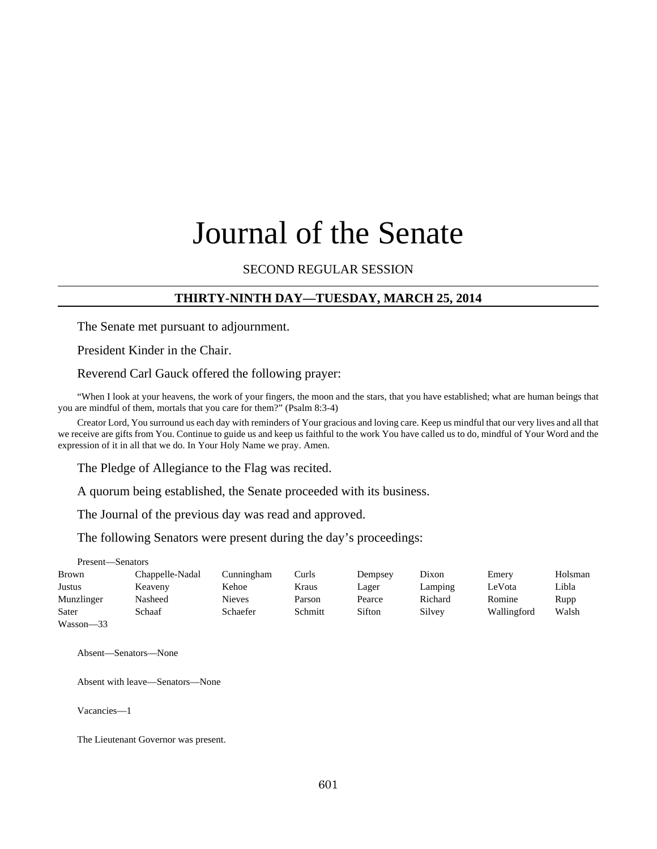# Journal of the Senate

## SECOND REGULAR SESSION

#### **THIRTY-NINTH DAY—TUESDAY, MARCH 25, 2014**

The Senate met pursuant to adjournment.

President Kinder in the Chair.

Reverend Carl Gauck offered the following prayer:

"When I look at your heavens, the work of your fingers, the moon and the stars, that you have established; what are human beings that you are mindful of them, mortals that you care for them?" (Psalm 8:3-4)

Creator Lord, You surround us each day with reminders of Your gracious and loving care. Keep us mindful that our very lives and all that we receive are gifts from You. Continue to guide us and keep us faithful to the work You have called us to do, mindful of Your Word and the expression of it in all that we do. In Your Holy Name we pray. Amen.

The Pledge of Allegiance to the Flag was recited.

A quorum being established, the Senate proceeded with its business.

The Journal of the previous day was read and approved.

The following Senators were present during the day's proceedings:

Present—Senators

| Brown      | Chappelle-Nadal | Cunningham    | Curls   | Dempsey | Dixon   | Emery       | Holsman |
|------------|-----------------|---------------|---------|---------|---------|-------------|---------|
| Justus     | Keaveny         | Kehoe         | Kraus   | Lager   | Lamping | LeVota      | Libla   |
| Munzlinger | Nasheed         | <b>Nieves</b> | Parson  | Pearce  | Richard | Romine      | Rupp    |
| Sater      | Schaaf          | Schaefer      | Schmitt | Sifton  | Silvey  | Wallingford | Walsh   |
| Wasson-33  |                 |               |         |         |         |             |         |

Absent—Senators—None

Absent with leave—Senators—None

Vacancies—1

The Lieutenant Governor was present.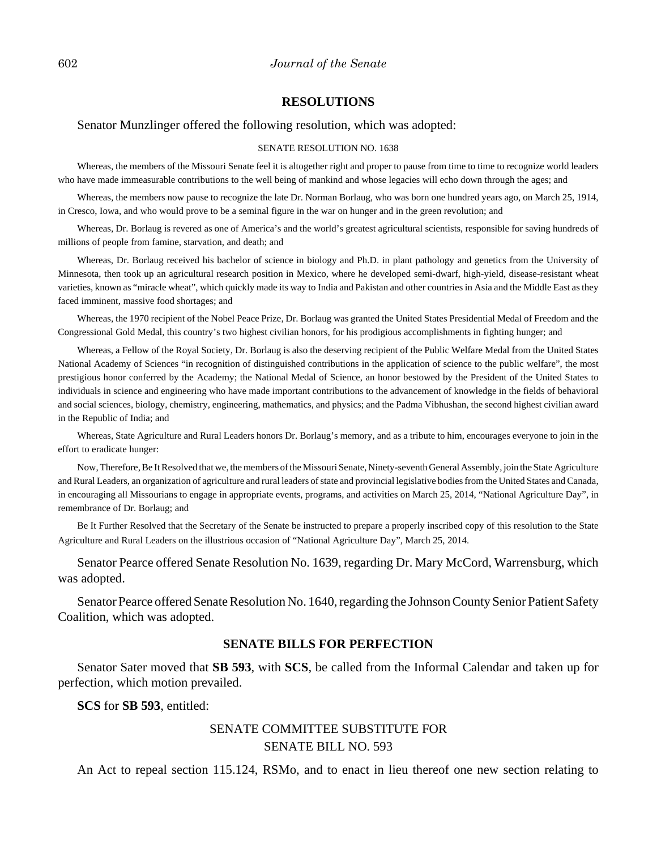#### 602 *Journal of the Senate*

#### **RESOLUTIONS**

#### Senator Munzlinger offered the following resolution, which was adopted:

#### SENATE RESOLUTION NO. 1638

Whereas, the members of the Missouri Senate feel it is altogether right and proper to pause from time to time to recognize world leaders who have made immeasurable contributions to the well being of mankind and whose legacies will echo down through the ages; and

Whereas, the members now pause to recognize the late Dr. Norman Borlaug, who was born one hundred years ago, on March 25, 1914, in Cresco, Iowa, and who would prove to be a seminal figure in the war on hunger and in the green revolution; and

Whereas, Dr. Borlaug is revered as one of America's and the world's greatest agricultural scientists, responsible for saving hundreds of millions of people from famine, starvation, and death; and

Whereas, Dr. Borlaug received his bachelor of science in biology and Ph.D. in plant pathology and genetics from the University of Minnesota, then took up an agricultural research position in Mexico, where he developed semi-dwarf, high-yield, disease-resistant wheat varieties, known as "miracle wheat", which quickly made its way to India and Pakistan and other countries in Asia and the Middle East as they faced imminent, massive food shortages; and

Whereas, the 1970 recipient of the Nobel Peace Prize, Dr. Borlaug was granted the United States Presidential Medal of Freedom and the Congressional Gold Medal, this country's two highest civilian honors, for his prodigious accomplishments in fighting hunger; and

Whereas, a Fellow of the Royal Society, Dr. Borlaug is also the deserving recipient of the Public Welfare Medal from the United States National Academy of Sciences "in recognition of distinguished contributions in the application of science to the public welfare", the most prestigious honor conferred by the Academy; the National Medal of Science, an honor bestowed by the President of the United States to individuals in science and engineering who have made important contributions to the advancement of knowledge in the fields of behavioral and social sciences, biology, chemistry, engineering, mathematics, and physics; and the Padma Vibhushan, the second highest civilian award in the Republic of India; and

Whereas, State Agriculture and Rural Leaders honors Dr. Borlaug's memory, and as a tribute to him, encourages everyone to join in the effort to eradicate hunger:

Now, Therefore, Be It Resolved that we, the members of the Missouri Senate, Ninety-seventh General Assembly, join the State Agriculture and Rural Leaders, an organization of agriculture and rural leaders of state and provincial legislative bodies from the United States and Canada, in encouraging all Missourians to engage in appropriate events, programs, and activities on March 25, 2014, "National Agriculture Day", in remembrance of Dr. Borlaug; and

Be It Further Resolved that the Secretary of the Senate be instructed to prepare a properly inscribed copy of this resolution to the State Agriculture and Rural Leaders on the illustrious occasion of "National Agriculture Day", March 25, 2014.

Senator Pearce offered Senate Resolution No. 1639, regarding Dr. Mary McCord, Warrensburg, which was adopted.

Senator Pearce offered Senate Resolution No. 1640, regarding the Johnson County Senior Patient Safety Coalition, which was adopted.

#### **SENATE BILLS FOR PERFECTION**

Senator Sater moved that **SB 593**, with **SCS**, be called from the Informal Calendar and taken up for perfection, which motion prevailed.

**SCS** for **SB 593**, entitled:

## SENATE COMMITTEE SUBSTITUTE FOR SENATE BILL NO. 593

An Act to repeal section 115.124, RSMo, and to enact in lieu thereof one new section relating to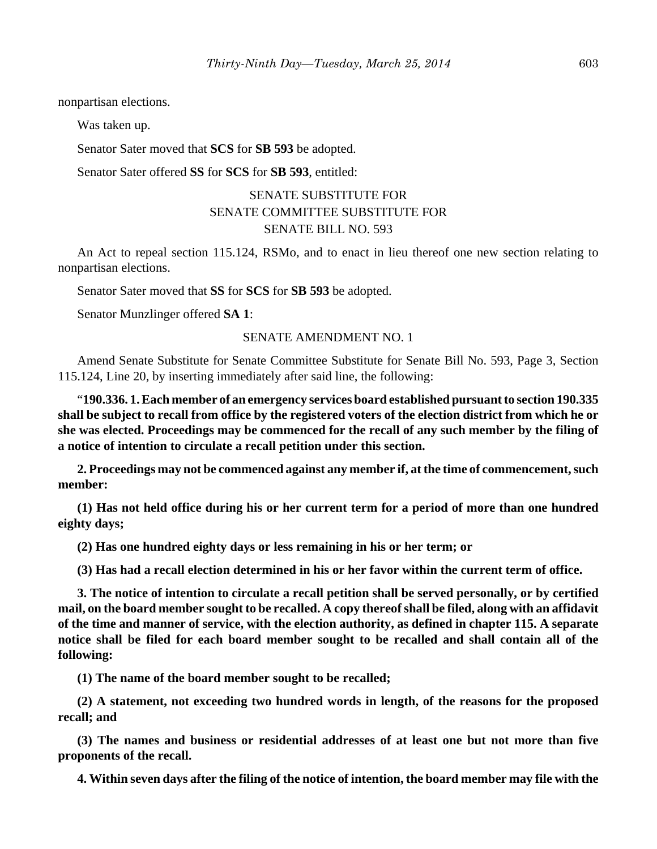nonpartisan elections.

Was taken up.

Senator Sater moved that **SCS** for **SB 593** be adopted.

Senator Sater offered **SS** for **SCS** for **SB 593**, entitled:

## SENATE SUBSTITUTE FOR SENATE COMMITTEE SUBSTITUTE FOR SENATE BILL NO. 593

An Act to repeal section 115.124, RSMo, and to enact in lieu thereof one new section relating to nonpartisan elections.

Senator Sater moved that **SS** for **SCS** for **SB 593** be adopted.

Senator Munzlinger offered **SA 1**:

#### SENATE AMENDMENT NO. 1

Amend Senate Substitute for Senate Committee Substitute for Senate Bill No. 593, Page 3, Section 115.124, Line 20, by inserting immediately after said line, the following:

"**190.336. 1. Each member of an emergency services board established pursuant to section 190.335 shall be subject to recall from office by the registered voters of the election district from which he or she was elected. Proceedings may be commenced for the recall of any such member by the filing of a notice of intention to circulate a recall petition under this section.**

**2. Proceedings may not be commenced against any member if, at the time of commencement, such member:**

**(1) Has not held office during his or her current term for a period of more than one hundred eighty days;**

**(2) Has one hundred eighty days or less remaining in his or her term; or**

**(3) Has had a recall election determined in his or her favor within the current term of office.**

**3. The notice of intention to circulate a recall petition shall be served personally, or by certified mail, on the board member sought to be recalled. A copy thereof shall be filed, along with an affidavit of the time and manner of service, with the election authority, as defined in chapter 115. A separate notice shall be filed for each board member sought to be recalled and shall contain all of the following:**

**(1) The name of the board member sought to be recalled;**

**(2) A statement, not exceeding two hundred words in length, of the reasons for the proposed recall; and**

**(3) The names and business or residential addresses of at least one but not more than five proponents of the recall.**

**4. Within seven days after the filing of the notice of intention, the board member may file with the**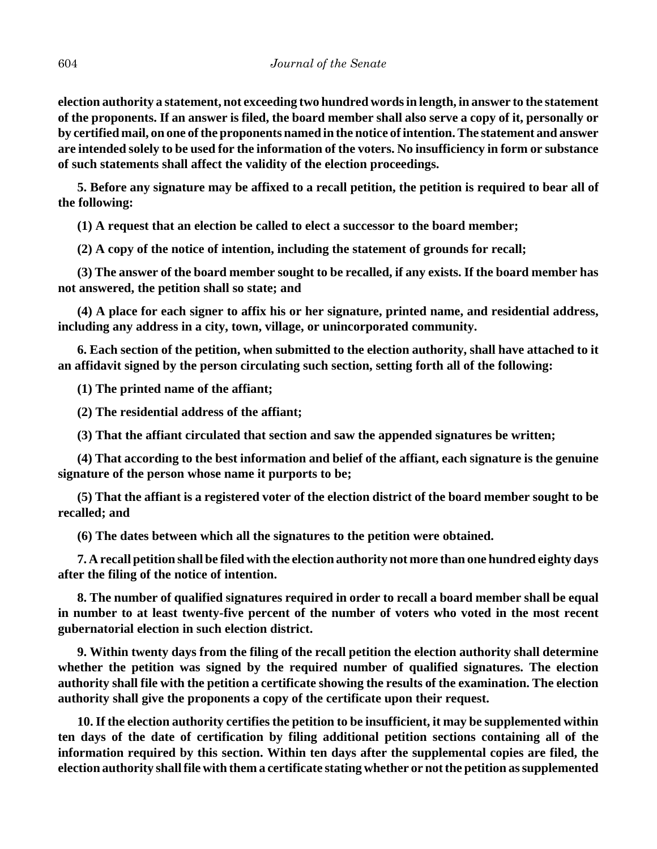**election authority a statement, not exceeding two hundred words in length, in answer to the statement of the proponents. If an answer is filed, the board member shall also serve a copy of it, personally or by certified mail, on one of the proponents named in the notice of intention. The statement and answer are intended solely to be used for the information of the voters. No insufficiency in form or substance of such statements shall affect the validity of the election proceedings.**

**5. Before any signature may be affixed to a recall petition, the petition is required to bear all of the following:**

**(1) A request that an election be called to elect a successor to the board member;**

**(2) A copy of the notice of intention, including the statement of grounds for recall;**

**(3) The answer of the board member sought to be recalled, if any exists. If the board member has not answered, the petition shall so state; and**

**(4) A place for each signer to affix his or her signature, printed name, and residential address, including any address in a city, town, village, or unincorporated community.**

**6. Each section of the petition, when submitted to the election authority, shall have attached to it an affidavit signed by the person circulating such section, setting forth all of the following:**

**(1) The printed name of the affiant;**

**(2) The residential address of the affiant;**

**(3) That the affiant circulated that section and saw the appended signatures be written;**

**(4) That according to the best information and belief of the affiant, each signature is the genuine signature of the person whose name it purports to be;**

**(5) That the affiant is a registered voter of the election district of the board member sought to be recalled; and**

**(6) The dates between which all the signatures to the petition were obtained.**

**7. A recall petition shall be filed with the election authority not more than one hundred eighty days after the filing of the notice of intention.**

**8. The number of qualified signatures required in order to recall a board member shall be equal in number to at least twenty-five percent of the number of voters who voted in the most recent gubernatorial election in such election district.**

**9. Within twenty days from the filing of the recall petition the election authority shall determine whether the petition was signed by the required number of qualified signatures. The election authority shall file with the petition a certificate showing the results of the examination. The election authority shall give the proponents a copy of the certificate upon their request.**

**10. If the election authority certifies the petition to be insufficient, it may be supplemented within ten days of the date of certification by filing additional petition sections containing all of the information required by this section. Within ten days after the supplemental copies are filed, the election authority shall file with them a certificate stating whether or not the petition as supplemented**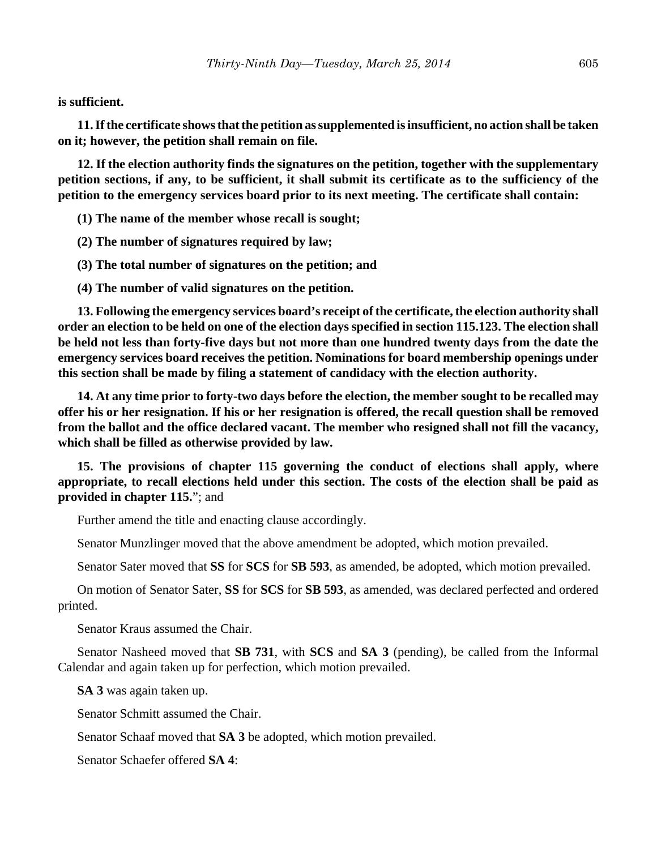**is sufficient.**

**11. If the certificate shows that the petition as supplemented is insufficient, no action shall be taken on it; however, the petition shall remain on file.**

**12. If the election authority finds the signatures on the petition, together with the supplementary petition sections, if any, to be sufficient, it shall submit its certificate as to the sufficiency of the petition to the emergency services board prior to its next meeting. The certificate shall contain:**

**(1) The name of the member whose recall is sought;**

**(2) The number of signatures required by law;**

**(3) The total number of signatures on the petition; and**

**(4) The number of valid signatures on the petition.**

**13. Following the emergency services board's receipt of the certificate, the election authority shall order an election to be held on one of the election days specified in section 115.123. The election shall be held not less than forty-five days but not more than one hundred twenty days from the date the emergency services board receives the petition. Nominations for board membership openings under this section shall be made by filing a statement of candidacy with the election authority.**

**14. At any time prior to forty-two days before the election, the member sought to be recalled may offer his or her resignation. If his or her resignation is offered, the recall question shall be removed from the ballot and the office declared vacant. The member who resigned shall not fill the vacancy, which shall be filled as otherwise provided by law.**

**15. The provisions of chapter 115 governing the conduct of elections shall apply, where appropriate, to recall elections held under this section. The costs of the election shall be paid as provided in chapter 115.**"; and

Further amend the title and enacting clause accordingly.

Senator Munzlinger moved that the above amendment be adopted, which motion prevailed.

Senator Sater moved that **SS** for **SCS** for **SB 593**, as amended, be adopted, which motion prevailed.

On motion of Senator Sater, **SS** for **SCS** for **SB 593**, as amended, was declared perfected and ordered printed.

Senator Kraus assumed the Chair.

Senator Nasheed moved that **SB 731**, with **SCS** and **SA 3** (pending), be called from the Informal Calendar and again taken up for perfection, which motion prevailed.

**SA 3** was again taken up.

Senator Schmitt assumed the Chair.

Senator Schaaf moved that **SA 3** be adopted, which motion prevailed.

Senator Schaefer offered **SA 4**: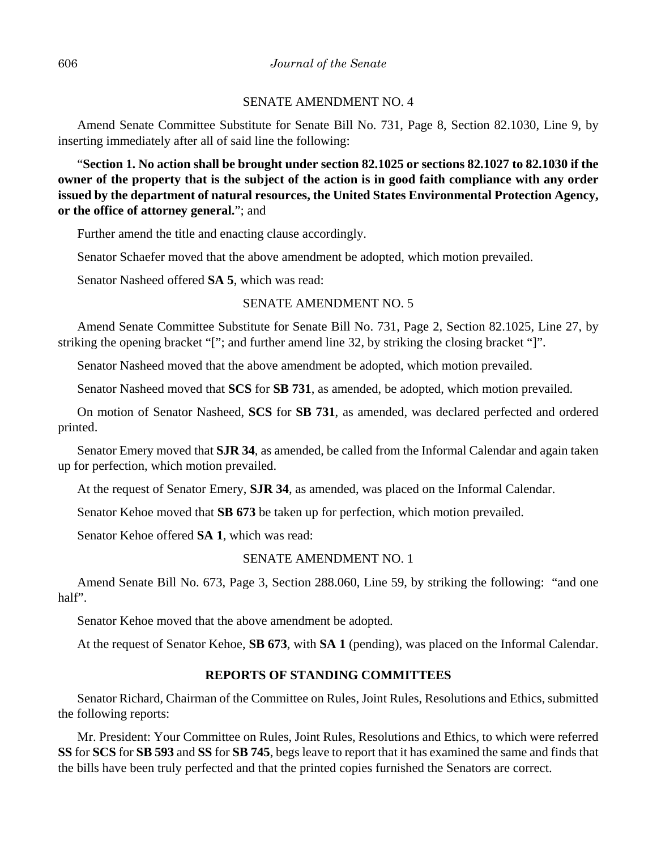#### SENATE AMENDMENT NO. 4

Amend Senate Committee Substitute for Senate Bill No. 731, Page 8, Section 82.1030, Line 9, by inserting immediately after all of said line the following:

"**Section 1. No action shall be brought under section 82.1025 or sections 82.1027 to 82.1030 if the owner of the property that is the subject of the action is in good faith compliance with any order issued by the department of natural resources, the United States Environmental Protection Agency, or the office of attorney general.**"; and

Further amend the title and enacting clause accordingly.

Senator Schaefer moved that the above amendment be adopted, which motion prevailed.

Senator Nasheed offered **SA 5**, which was read:

## SENATE AMENDMENT NO. 5

Amend Senate Committee Substitute for Senate Bill No. 731, Page 2, Section 82.1025, Line 27, by striking the opening bracket "["; and further amend line 32, by striking the closing bracket "]".

Senator Nasheed moved that the above amendment be adopted, which motion prevailed.

Senator Nasheed moved that **SCS** for **SB 731**, as amended, be adopted, which motion prevailed.

On motion of Senator Nasheed, **SCS** for **SB 731**, as amended, was declared perfected and ordered printed.

Senator Emery moved that **SJR 34**, as amended, be called from the Informal Calendar and again taken up for perfection, which motion prevailed.

At the request of Senator Emery, **SJR 34**, as amended, was placed on the Informal Calendar.

Senator Kehoe moved that **SB 673** be taken up for perfection, which motion prevailed.

Senator Kehoe offered **SA 1**, which was read:

#### SENATE AMENDMENT NO. 1

Amend Senate Bill No. 673, Page 3, Section 288.060, Line 59, by striking the following: "and one half".

Senator Kehoe moved that the above amendment be adopted.

At the request of Senator Kehoe, **SB 673**, with **SA 1** (pending), was placed on the Informal Calendar.

## **REPORTS OF STANDING COMMITTEES**

Senator Richard, Chairman of the Committee on Rules, Joint Rules, Resolutions and Ethics, submitted the following reports:

Mr. President: Your Committee on Rules, Joint Rules, Resolutions and Ethics, to which were referred **SS** for **SCS** for **SB 593** and **SS** for **SB 745**, begs leave to report that it has examined the same and finds that the bills have been truly perfected and that the printed copies furnished the Senators are correct.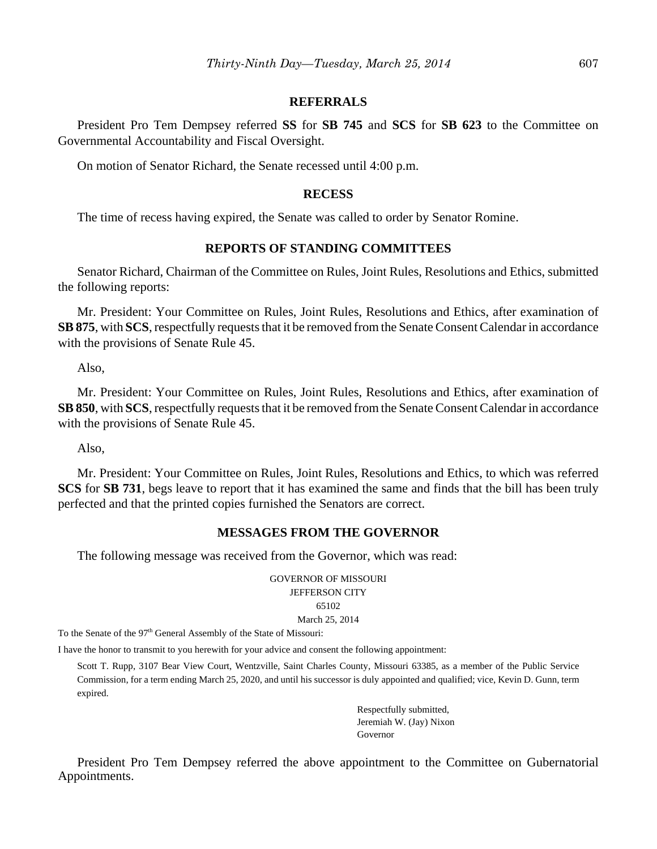#### **REFERRALS**

President Pro Tem Dempsey referred **SS** for **SB 745** and **SCS** for **SB 623** to the Committee on Governmental Accountability and Fiscal Oversight.

On motion of Senator Richard, the Senate recessed until 4:00 p.m.

#### **RECESS**

The time of recess having expired, the Senate was called to order by Senator Romine.

## **REPORTS OF STANDING COMMITTEES**

Senator Richard, Chairman of the Committee on Rules, Joint Rules, Resolutions and Ethics, submitted the following reports:

Mr. President: Your Committee on Rules, Joint Rules, Resolutions and Ethics, after examination of **SB 875**, with **SCS**, respectfully requests that it be removed from the Senate Consent Calendar in accordance with the provisions of Senate Rule 45.

Also,

Mr. President: Your Committee on Rules, Joint Rules, Resolutions and Ethics, after examination of **SB 850**, with **SCS**, respectfully requests that it be removed from the Senate Consent Calendar in accordance with the provisions of Senate Rule 45.

Also,

Mr. President: Your Committee on Rules, Joint Rules, Resolutions and Ethics, to which was referred **SCS** for **SB 731**, begs leave to report that it has examined the same and finds that the bill has been truly perfected and that the printed copies furnished the Senators are correct.

#### **MESSAGES FROM THE GOVERNOR**

The following message was received from the Governor, which was read:

GOVERNOR OF MISSOURI JEFFERSON CITY 65102 March 25, 2014

To the Senate of the 97<sup>th</sup> General Assembly of the State of Missouri:

I have the honor to transmit to you herewith for your advice and consent the following appointment:

Scott T. Rupp, 3107 Bear View Court, Wentzville, Saint Charles County, Missouri 63385, as a member of the Public Service Commission, for a term ending March 25, 2020, and until his successor is duly appointed and qualified; vice, Kevin D. Gunn, term expired.

> Respectfully submitted, Jeremiah W. (Jay) Nixon Governor

President Pro Tem Dempsey referred the above appointment to the Committee on Gubernatorial Appointments.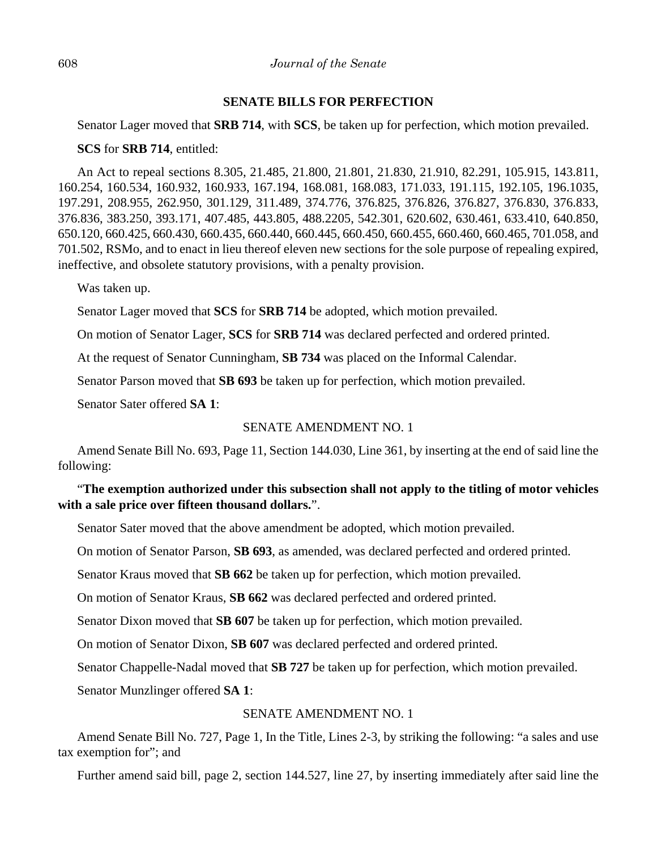### 608 *Journal of the Senate*

## **SENATE BILLS FOR PERFECTION**

Senator Lager moved that **SRB 714**, with **SCS**, be taken up for perfection, which motion prevailed.

## **SCS** for **SRB 714**, entitled:

An Act to repeal sections 8.305, 21.485, 21.800, 21.801, 21.830, 21.910, 82.291, 105.915, 143.811, 160.254, 160.534, 160.932, 160.933, 167.194, 168.081, 168.083, 171.033, 191.115, 192.105, 196.1035, 197.291, 208.955, 262.950, 301.129, 311.489, 374.776, 376.825, 376.826, 376.827, 376.830, 376.833, 376.836, 383.250, 393.171, 407.485, 443.805, 488.2205, 542.301, 620.602, 630.461, 633.410, 640.850, 650.120, 660.425, 660.430, 660.435, 660.440, 660.445, 660.450, 660.455, 660.460, 660.465, 701.058, and 701.502, RSMo, and to enact in lieu thereof eleven new sections for the sole purpose of repealing expired, ineffective, and obsolete statutory provisions, with a penalty provision.

Was taken up.

Senator Lager moved that **SCS** for **SRB 714** be adopted, which motion prevailed.

On motion of Senator Lager, **SCS** for **SRB 714** was declared perfected and ordered printed.

At the request of Senator Cunningham, **SB 734** was placed on the Informal Calendar.

Senator Parson moved that **SB 693** be taken up for perfection, which motion prevailed.

Senator Sater offered **SA 1**:

## SENATE AMENDMENT NO. 1

Amend Senate Bill No. 693, Page 11, Section 144.030, Line 361, by inserting at the end of said line the following:

# "**The exemption authorized under this subsection shall not apply to the titling of motor vehicles with a sale price over fifteen thousand dollars.**".

Senator Sater moved that the above amendment be adopted, which motion prevailed.

On motion of Senator Parson, **SB 693**, as amended, was declared perfected and ordered printed.

Senator Kraus moved that **SB 662** be taken up for perfection, which motion prevailed.

On motion of Senator Kraus, **SB 662** was declared perfected and ordered printed.

Senator Dixon moved that **SB 607** be taken up for perfection, which motion prevailed.

On motion of Senator Dixon, **SB 607** was declared perfected and ordered printed.

Senator Chappelle-Nadal moved that **SB 727** be taken up for perfection, which motion prevailed.

Senator Munzlinger offered **SA 1**:

## SENATE AMENDMENT NO. 1

Amend Senate Bill No. 727, Page 1, In the Title, Lines 2-3, by striking the following: "a sales and use tax exemption for"; and

Further amend said bill, page 2, section 144.527, line 27, by inserting immediately after said line the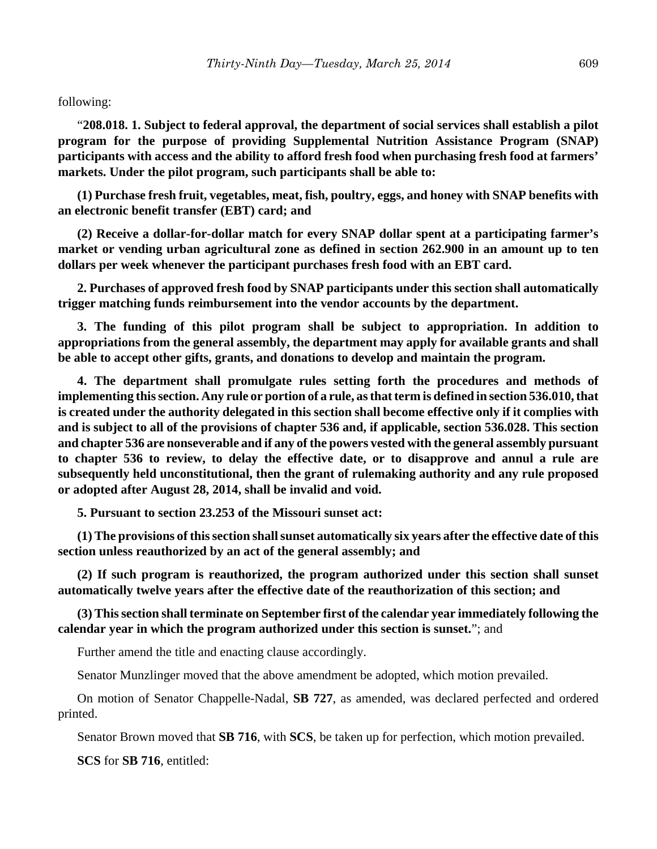## following:

"**208.018. 1. Subject to federal approval, the department of social services shall establish a pilot program for the purpose of providing Supplemental Nutrition Assistance Program (SNAP) participants with access and the ability to afford fresh food when purchasing fresh food at farmers' markets. Under the pilot program, such participants shall be able to:**

**(1) Purchase fresh fruit, vegetables, meat, fish, poultry, eggs, and honey with SNAP benefits with an electronic benefit transfer (EBT) card; and**

**(2) Receive a dollar-for-dollar match for every SNAP dollar spent at a participating farmer's market or vending urban agricultural zone as defined in section 262.900 in an amount up to ten dollars per week whenever the participant purchases fresh food with an EBT card.**

**2. Purchases of approved fresh food by SNAP participants under this section shall automatically trigger matching funds reimbursement into the vendor accounts by the department.**

**3. The funding of this pilot program shall be subject to appropriation. In addition to appropriations from the general assembly, the department may apply for available grants and shall be able to accept other gifts, grants, and donations to develop and maintain the program.**

**4. The department shall promulgate rules setting forth the procedures and methods of implementing this section. Any rule or portion of a rule, as that term is defined in section 536.010, that is created under the authority delegated in this section shall become effective only if it complies with and is subject to all of the provisions of chapter 536 and, if applicable, section 536.028. This section and chapter 536 are nonseverable and if any of the powers vested with the general assembly pursuant to chapter 536 to review, to delay the effective date, or to disapprove and annul a rule are subsequently held unconstitutional, then the grant of rulemaking authority and any rule proposed or adopted after August 28, 2014, shall be invalid and void.**

**5. Pursuant to section 23.253 of the Missouri sunset act:**

**(1) The provisions of this section shall sunset automatically six years after the effective date of this section unless reauthorized by an act of the general assembly; and**

**(2) If such program is reauthorized, the program authorized under this section shall sunset automatically twelve years after the effective date of the reauthorization of this section; and**

**(3) This section shall terminate on September first of the calendar year immediately following the calendar year in which the program authorized under this section is sunset.**"; and

Further amend the title and enacting clause accordingly.

Senator Munzlinger moved that the above amendment be adopted, which motion prevailed.

On motion of Senator Chappelle-Nadal, **SB 727**, as amended, was declared perfected and ordered printed.

Senator Brown moved that **SB 716**, with **SCS**, be taken up for perfection, which motion prevailed.

**SCS** for **SB 716**, entitled: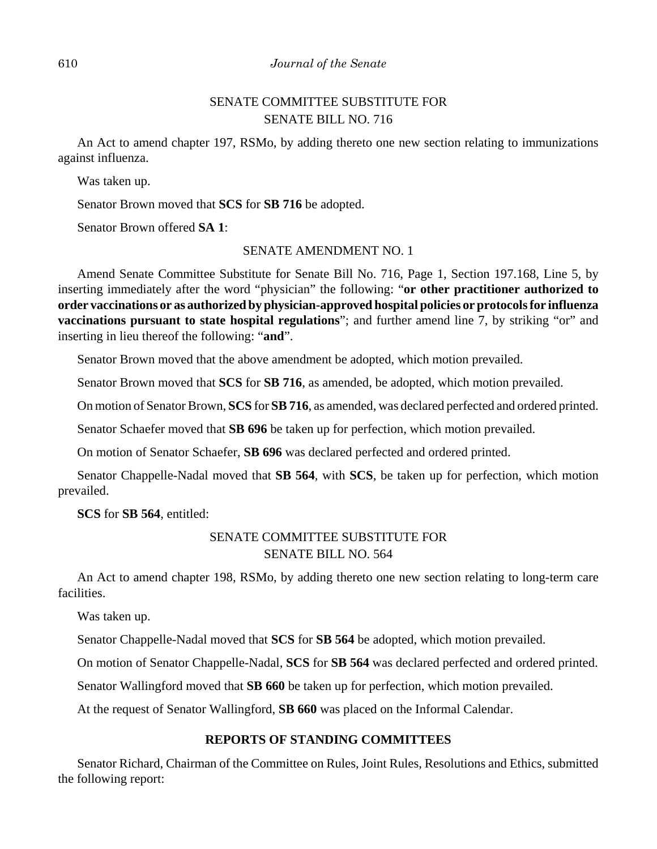# SENATE COMMITTEE SUBSTITUTE FOR SENATE BILL NO. 716

An Act to amend chapter 197, RSMo, by adding thereto one new section relating to immunizations against influenza.

Was taken up.

Senator Brown moved that **SCS** for **SB 716** be adopted.

Senator Brown offered **SA 1**:

#### SENATE AMENDMENT NO. 1

Amend Senate Committee Substitute for Senate Bill No. 716, Page 1, Section 197.168, Line 5, by inserting immediately after the word "physician" the following: "**or other practitioner authorized to order vaccinations or as authorized by physician-approved hospital policies or protocols for influenza vaccinations pursuant to state hospital regulations**"; and further amend line 7, by striking "or" and inserting in lieu thereof the following: "**and**".

Senator Brown moved that the above amendment be adopted, which motion prevailed.

Senator Brown moved that **SCS** for **SB 716**, as amended, be adopted, which motion prevailed.

On motion of Senator Brown, **SCS** for **SB 716**, as amended, was declared perfected and ordered printed.

Senator Schaefer moved that **SB 696** be taken up for perfection, which motion prevailed.

On motion of Senator Schaefer, **SB 696** was declared perfected and ordered printed.

Senator Chappelle-Nadal moved that **SB 564**, with **SCS**, be taken up for perfection, which motion prevailed.

**SCS** for **SB 564**, entitled:

# SENATE COMMITTEE SUBSTITUTE FOR SENATE BILL NO. 564

An Act to amend chapter 198, RSMo, by adding thereto one new section relating to long-term care facilities.

Was taken up.

Senator Chappelle-Nadal moved that **SCS** for **SB 564** be adopted, which motion prevailed.

On motion of Senator Chappelle-Nadal, **SCS** for **SB 564** was declared perfected and ordered printed.

Senator Wallingford moved that **SB 660** be taken up for perfection, which motion prevailed.

At the request of Senator Wallingford, **SB 660** was placed on the Informal Calendar.

## **REPORTS OF STANDING COMMITTEES**

Senator Richard, Chairman of the Committee on Rules, Joint Rules, Resolutions and Ethics, submitted the following report: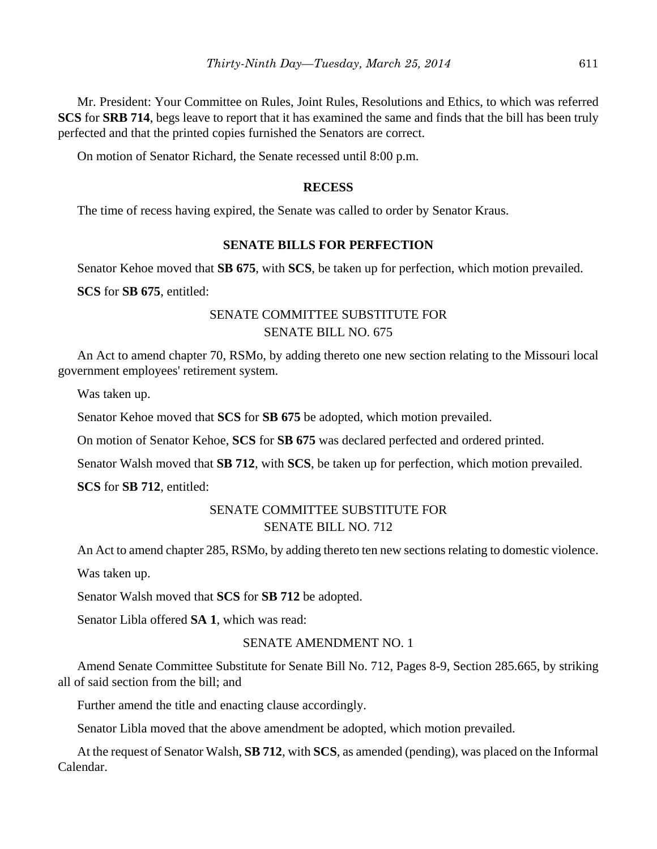Mr. President: Your Committee on Rules, Joint Rules, Resolutions and Ethics, to which was referred **SCS** for **SRB 714**, begs leave to report that it has examined the same and finds that the bill has been truly perfected and that the printed copies furnished the Senators are correct.

On motion of Senator Richard, the Senate recessed until 8:00 p.m.

## **RECESS**

The time of recess having expired, the Senate was called to order by Senator Kraus.

## **SENATE BILLS FOR PERFECTION**

Senator Kehoe moved that **SB 675**, with **SCS**, be taken up for perfection, which motion prevailed.

**SCS** for **SB 675**, entitled:

## SENATE COMMITTEE SUBSTITUTE FOR SENATE BILL NO. 675

An Act to amend chapter 70, RSMo, by adding thereto one new section relating to the Missouri local government employees' retirement system.

Was taken up.

Senator Kehoe moved that **SCS** for **SB 675** be adopted, which motion prevailed.

On motion of Senator Kehoe, **SCS** for **SB 675** was declared perfected and ordered printed.

Senator Walsh moved that **SB 712**, with **SCS**, be taken up for perfection, which motion prevailed.

**SCS** for **SB 712**, entitled:

## SENATE COMMITTEE SUBSTITUTE FOR SENATE BILL NO. 712

An Act to amend chapter 285, RSMo, by adding thereto ten new sections relating to domestic violence.

Was taken up.

Senator Walsh moved that **SCS** for **SB 712** be adopted.

Senator Libla offered **SA 1**, which was read:

## SENATE AMENDMENT NO. 1

Amend Senate Committee Substitute for Senate Bill No. 712, Pages 8-9, Section 285.665, by striking all of said section from the bill; and

Further amend the title and enacting clause accordingly.

Senator Libla moved that the above amendment be adopted, which motion prevailed.

At the request of Senator Walsh, **SB 712**, with **SCS**, as amended (pending), was placed on the Informal Calendar.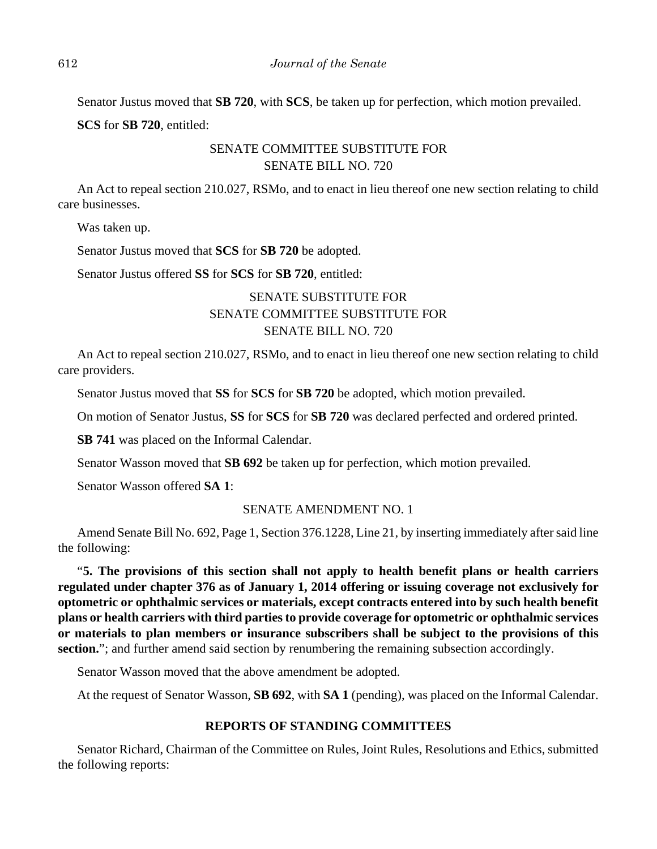Senator Justus moved that **SB 720**, with **SCS**, be taken up for perfection, which motion prevailed.

**SCS** for **SB 720**, entitled:

# SENATE COMMITTEE SUBSTITUTE FOR SENATE BILL NO. 720

An Act to repeal section 210.027, RSMo, and to enact in lieu thereof one new section relating to child care businesses.

Was taken up.

Senator Justus moved that **SCS** for **SB 720** be adopted.

Senator Justus offered **SS** for **SCS** for **SB 720**, entitled:

# SENATE SUBSTITUTE FOR SENATE COMMITTEE SUBSTITUTE FOR SENATE BILL NO. 720

An Act to repeal section 210.027, RSMo, and to enact in lieu thereof one new section relating to child care providers.

Senator Justus moved that **SS** for **SCS** for **SB 720** be adopted, which motion prevailed.

On motion of Senator Justus, **SS** for **SCS** for **SB 720** was declared perfected and ordered printed.

**SB 741** was placed on the Informal Calendar.

Senator Wasson moved that **SB 692** be taken up for perfection, which motion prevailed.

Senator Wasson offered **SA 1**:

## SENATE AMENDMENT NO. 1

Amend Senate Bill No. 692, Page 1, Section 376.1228, Line 21, by inserting immediately after said line the following:

"**5. The provisions of this section shall not apply to health benefit plans or health carriers regulated under chapter 376 as of January 1, 2014 offering or issuing coverage not exclusively for optometric or ophthalmic services or materials, except contracts entered into by such health benefit plans or health carriers with third parties to provide coverage for optometric or ophthalmic services or materials to plan members or insurance subscribers shall be subject to the provisions of this** section."; and further amend said section by renumbering the remaining subsection accordingly.

Senator Wasson moved that the above amendment be adopted.

At the request of Senator Wasson, **SB 692**, with **SA 1** (pending), was placed on the Informal Calendar.

## **REPORTS OF STANDING COMMITTEES**

Senator Richard, Chairman of the Committee on Rules, Joint Rules, Resolutions and Ethics, submitted the following reports: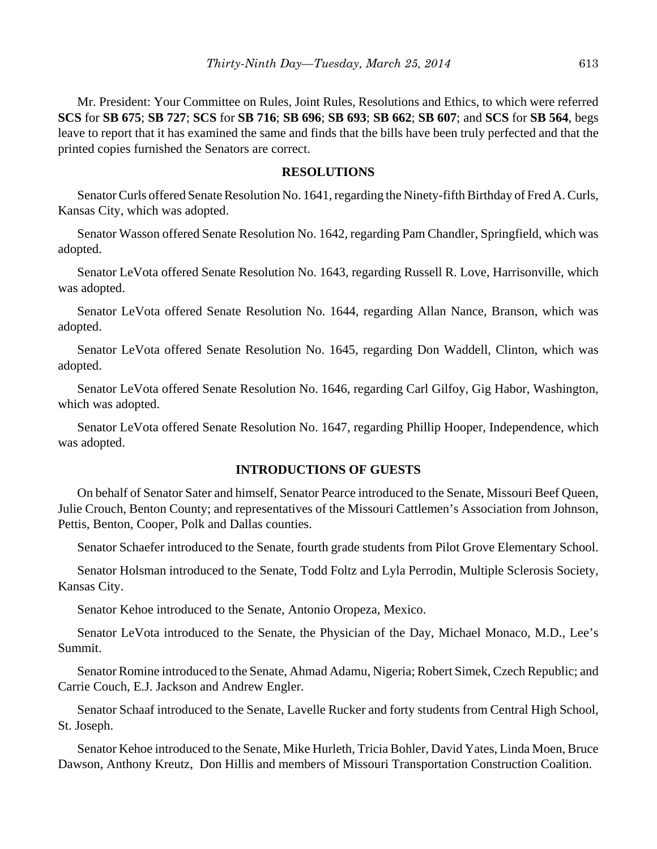Mr. President: Your Committee on Rules, Joint Rules, Resolutions and Ethics, to which were referred **SCS** for **SB 675**; **SB 727**; **SCS** for **SB 716**; **SB 696**; **SB 693**; **SB 662**; **SB 607**; and **SCS** for **SB 564**, begs leave to report that it has examined the same and finds that the bills have been truly perfected and that the printed copies furnished the Senators are correct.

## **RESOLUTIONS**

Senator Curls offered Senate Resolution No. 1641, regarding the Ninety-fifth Birthday of Fred A. Curls, Kansas City, which was adopted.

Senator Wasson offered Senate Resolution No. 1642, regarding Pam Chandler, Springfield, which was adopted.

Senator LeVota offered Senate Resolution No. 1643, regarding Russell R. Love, Harrisonville, which was adopted.

Senator LeVota offered Senate Resolution No. 1644, regarding Allan Nance, Branson, which was adopted.

Senator LeVota offered Senate Resolution No. 1645, regarding Don Waddell, Clinton, which was adopted.

Senator LeVota offered Senate Resolution No. 1646, regarding Carl Gilfoy, Gig Habor, Washington, which was adopted.

Senator LeVota offered Senate Resolution No. 1647, regarding Phillip Hooper, Independence, which was adopted.

## **INTRODUCTIONS OF GUESTS**

On behalf of Senator Sater and himself, Senator Pearce introduced to the Senate, Missouri Beef Queen, Julie Crouch, Benton County; and representatives of the Missouri Cattlemen's Association from Johnson, Pettis, Benton, Cooper, Polk and Dallas counties.

Senator Schaefer introduced to the Senate, fourth grade students from Pilot Grove Elementary School.

Senator Holsman introduced to the Senate, Todd Foltz and Lyla Perrodin, Multiple Sclerosis Society, Kansas City.

Senator Kehoe introduced to the Senate, Antonio Oropeza, Mexico.

Senator LeVota introduced to the Senate, the Physician of the Day, Michael Monaco, M.D., Lee's Summit.

Senator Romine introduced to the Senate, Ahmad Adamu, Nigeria; Robert Simek, Czech Republic; and Carrie Couch, E.J. Jackson and Andrew Engler.

Senator Schaaf introduced to the Senate, Lavelle Rucker and forty students from Central High School, St. Joseph.

Senator Kehoe introduced to the Senate, Mike Hurleth, Tricia Bohler, David Yates, Linda Moen, Bruce Dawson, Anthony Kreutz, Don Hillis and members of Missouri Transportation Construction Coalition.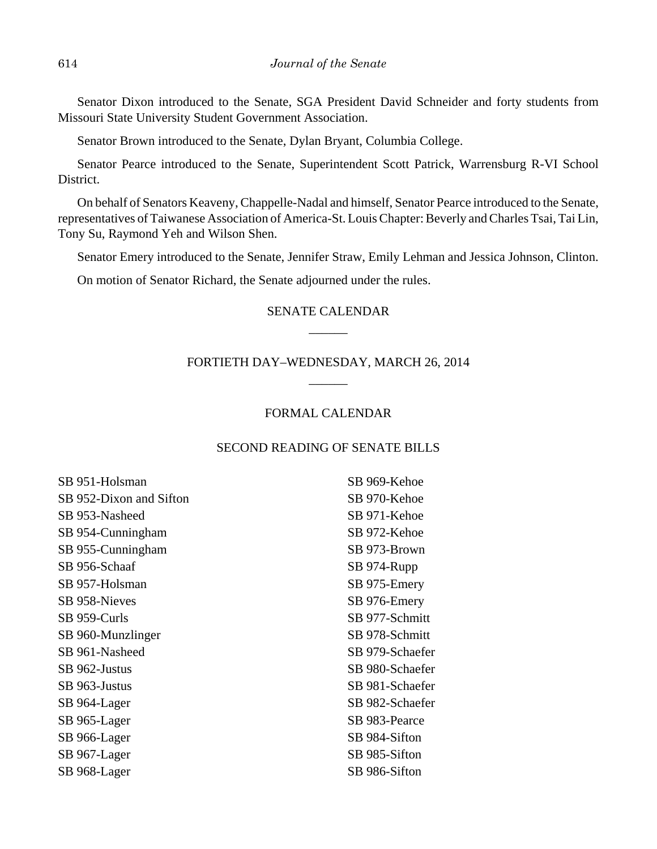Senator Dixon introduced to the Senate, SGA President David Schneider and forty students from Missouri State University Student Government Association.

Senator Brown introduced to the Senate, Dylan Bryant, Columbia College.

Senator Pearce introduced to the Senate, Superintendent Scott Patrick, Warrensburg R-VI School District.

On behalf of Senators Keaveny, Chappelle-Nadal and himself, Senator Pearce introduced to the Senate, representatives of Taiwanese Association of America-St. Louis Chapter: Beverly and Charles Tsai, Tai Lin, Tony Su, Raymond Yeh and Wilson Shen.

Senator Emery introduced to the Senate, Jennifer Straw, Emily Lehman and Jessica Johnson, Clinton.

On motion of Senator Richard, the Senate adjourned under the rules.

# SENATE CALENDAR \_\_\_\_\_\_

## FORTIETH DAY–WEDNESDAY, MARCH 26, 2014 \_\_\_\_\_\_

## FORMAL CALENDAR

### SECOND READING OF SENATE BILLS

| SB 951-Holsman          | SB 969-Kehoe    |
|-------------------------|-----------------|
| SB 952-Dixon and Sifton | SB 970-Kehoe    |
| SB 953-Nasheed          | SB 971-Kehoe    |
| SB 954-Cunningham       | SB 972-Kehoe    |
| SB 955-Cunningham       | SB 973-Brown    |
| SB 956-Schaaf           | SB 974-Rupp     |
| SB 957-Holsman          | SB 975-Emery    |
| SB 958-Nieves           | SB 976-Emery    |
| SB 959-Curls            | SB 977-Schmitt  |
| SB 960-Munzlinger       | SB 978-Schmitt  |
| SB 961-Nasheed          | SB 979-Schaefer |
| SB 962-Justus           | SB 980-Schaefer |
| SB 963-Justus           | SB 981-Schaefer |
| SB 964-Lager            | SB 982-Schaefer |
| SB 965-Lager            | SB 983-Pearce   |
| SB 966-Lager            | SB 984-Sifton   |
| SB 967-Lager            | SB 985-Sifton   |
| SB 968-Lager            | SB 986-Sifton   |
|                         |                 |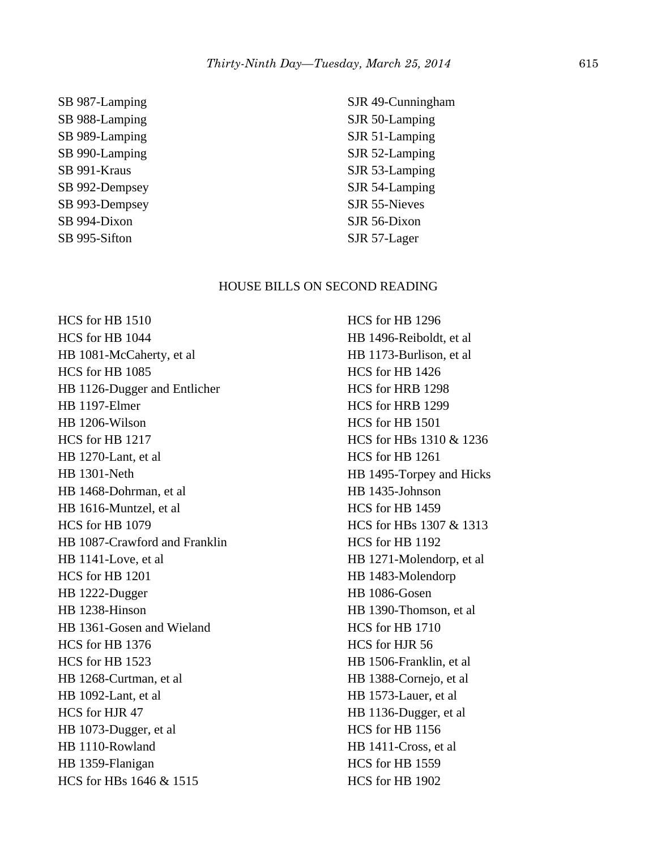SB 987-Lamping SB 988-Lamping SB 989-Lamping SB 990-Lamping SB 991-Kraus SB 992-Dempsey SB 993-Dempsey SB 994-Dixon SB 995-Sifton

SJR 49-Cunningham SJR 50-Lamping SJR 51-Lamping SJR 52-Lamping SJR 53-Lamping SJR 54-Lamping SJR 55-Nieves SJR 56-Dixon SJR 57-Lager

#### HOUSE BILLS ON SECOND READING

HCS for HB 1510 HCS for HB 1044 HB 1081-McCaherty, et al HCS for HB 1085 HB 1126-Dugger and Entlicher HB 1197-Elmer HB 1206-Wilson HCS for HB 1217 HB 1270-Lant, et al HB 1301-Neth HB 1468-Dohrman, et al HB 1616-Muntzel, et al HCS for HB 1079 HB 1087-Crawford and Franklin HB 1141-Love, et al HCS for HB 1201 HB 1222-Dugger HB 1238-Hinson HB 1361-Gosen and Wieland HCS for HB 1376 HCS for HB 1523 HB 1268-Curtman, et al HB 1092-Lant, et al HCS for HJR 47 HB 1073-Dugger, et al HB 1110-Rowland HB 1359-Flanigan HCS for HBs 1646 & 1515

HCS for HB 1296 HB 1496-Reiboldt, et al HB 1173-Burlison, et al HCS for HB 1426 HCS for HRB 1298 HCS for HRB 1299 HCS for HB 1501 HCS for HBs 1310 & 1236 HCS for HB 1261 HB 1495-Torpey and Hicks HB 1435-Johnson HCS for HB 1459 HCS for HBs 1307 & 1313 HCS for HB 1192 HB 1271-Molendorp, et al HB 1483-Molendorp HB 1086-Gosen HB 1390-Thomson, et al HCS for HB 1710 HCS for HJR 56 HB 1506-Franklin, et al HB 1388-Cornejo, et al HB 1573-Lauer, et al HB 1136-Dugger, et al HCS for HB 1156 HB 1411-Cross, et al HCS for HB 1559 HCS for HB 1902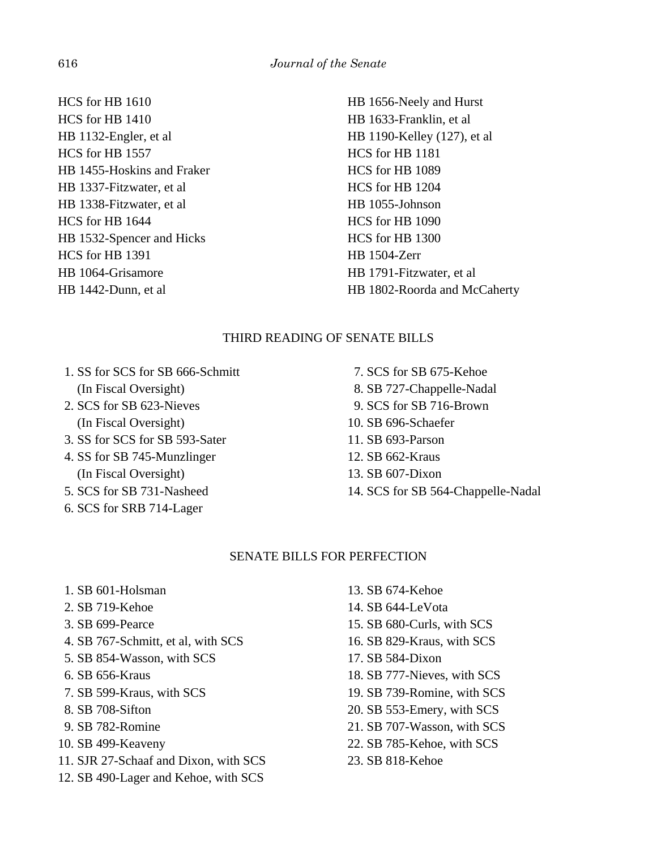HCS for HB 1610 HCS for HB 1410 HB 1132-Engler, et al HCS for HB 1557 HB 1455-Hoskins and Fraker HB 1337-Fitzwater, et al HB 1338-Fitzwater, et al HCS for HB 1644 HB 1532-Spencer and Hicks HCS for HB 1391 HB 1064-Grisamore HB 1442-Dunn, et al

HB 1656-Neely and Hurst HB 1633-Franklin, et al HB 1190-Kelley (127), et al HCS for HB 1181 HCS for HB 1089 HCS for HB 1204 HB 1055-Johnson HCS for HB 1090 HCS for HB 1300 HB 1504-Zerr HB 1791-Fitzwater, et al HB 1802-Roorda and McCaherty

## THIRD READING OF SENATE BILLS

- 1. SS for SCS for SB 666-Schmitt (In Fiscal Oversight)
- 2. SCS for SB 623-Nieves (In Fiscal Oversight)
- 3. SS for SCS for SB 593-Sater
- 4. SS for SB 745-Munzlinger (In Fiscal Oversight)
- 5. SCS for SB 731-Nasheed
- 6. SCS for SRB 714-Lager

 7. SCS for SB 675-Kehoe 8. SB 727-Chappelle-Nadal 9. SCS for SB 716-Brown 10. SB 696-Schaefer 11. SB 693-Parson 12. SB 662-Kraus 13. SB 607-Dixon 14. SCS for SB 564-Chappelle-Nadal

## SENATE BILLS FOR PERFECTION

- 1. SB 601-Holsman
- 2. SB 719-Kehoe
- 3. SB 699-Pearce
- 4. SB 767-Schmitt, et al, with SCS
- 5. SB 854-Wasson, with SCS
- 6. SB 656-Kraus
- 7. SB 599-Kraus, with SCS
- 8. SB 708-Sifton
- 9. SB 782-Romine
- 10. SB 499-Keaveny
- 11. SJR 27-Schaaf and Dixon, with SCS
- 12. SB 490-Lager and Kehoe, with SCS
- 13. SB 674-Kehoe
- 14. SB 644-LeVota
- 15. SB 680-Curls, with SCS
- 16. SB 829-Kraus, with SCS
- 17. SB 584-Dixon
- 18. SB 777-Nieves, with SCS
- 19. SB 739-Romine, with SCS
- 20. SB 553-Emery, with SCS
- 21. SB 707-Wasson, with SCS
- 22. SB 785-Kehoe, with SCS
- 23. SB 818-Kehoe